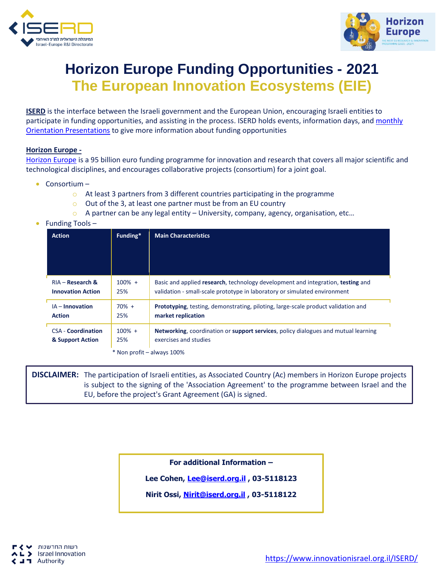



# **Horizon Europe Funding Opportunities - 2021 The European Innovation Ecosystems (EIE)**

**ISERD** is the interface between the Israeli government and the European Union, encouraging Israeli entities to participate in funding opportunities, and assisting in the process. ISERD holds events, information days, and monthly [Orientation Presentations](https://www.innovationisrael.org.il/ISERD/page/news-events) to give more information about funding opportunities

### **Horizon Europe -**

[Horizon Europe](https://ec.europa.eu/info/horizon-europe_en) is a 95 billion euro funding programme for innovation and research that covers all major scientific and technological disciplines, and encourages collaborative projects (consortium) for a joint goal.

- Consortium
	- o At least 3 partners from 3 different countries participating in the programme
	- o Out of the 3, at least one partner must be from an EU country
	- $\circ$  A partner can be any legal entity University, company, agency, organisation, etc...
- Funding Tools –

| <b>Action</b>              | Funding*  | <b>Main Characteristics</b>                                                              |  |  |
|----------------------------|-----------|------------------------------------------------------------------------------------------|--|--|
|                            |           |                                                                                          |  |  |
| $RIA - Research &$         | $100\% +$ | Basic and applied research, technology development and integration, testing and          |  |  |
| <b>Innovation Action</b>   | 25%       | validation - small-scale prototype in laboratory or simulated environment                |  |  |
| $IA$ – Innovation          | $70% +$   | <b>Prototyping, testing, demonstrating, piloting, large-scale product validation and</b> |  |  |
| <b>Action</b>              | 25%       | market replication                                                                       |  |  |
| <b>CSA - Coordination</b>  | $100\% +$ | Networking, coordination or support services, policy dialogues and mutual learning       |  |  |
| & Support Action           | 25%       | exercises and studies                                                                    |  |  |
| * Non profit – always 100% |           |                                                                                          |  |  |

**DISCLAIMER:** The participation of Israeli entities, as Associated Country (Ac) members in Horizon Europe projects is subject to the signing of the 'Association Agreement' to the programme between Israel and the EU, before the project's Grant Agreement (GA) is signed.

**For additional Information –**

**Lee Cohen, [Lee@iserd.org.il](mailto:Lee@iserd.org.il) , 03-5118123**

**Nirit Ossi, [Nirit@iserd.org.il](mailto:Nirit@iserd.org.il) , 03-5118122**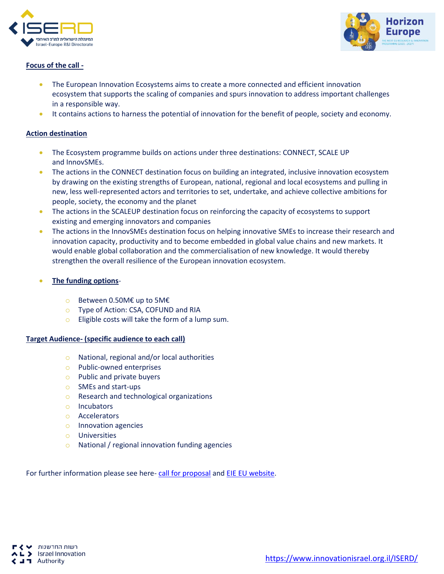



## **Focus of the call -**

- The European Innovation Ecosystems aims to create a more connected and efficient innovation ecosystem that supports the scaling of companies and spurs innovation to address important challenges in a responsible way.
- It contains actions to harness the potential of innovation for the benefit of people, society and economy.

## **Action destination**

- The Ecosystem programme builds on actions under three destinations: CONNECT, SCALE UP and InnovSMEs.
- The actions in the CONNECT destination focus on building an integrated, inclusive innovation ecosystem by drawing on the existing strengths of European, national, regional and local ecosystems and pulling in new, less well-represented actors and territories to set, undertake, and achieve collective ambitions for people, society, the economy and the planet
- The actions in the SCALEUP destination focus on reinforcing the capacity of ecosystems to support existing and emerging innovators and companies
- The actions in the InnovSMEs destination focus on helping innovative SMEs to increase their research and innovation capacity, productivity and to become embedded in global value chains and new markets. It would enable global collaboration and the commercialisation of new knowledge. It would thereby strengthen the overall resilience of the European innovation ecosystem.
- **The funding options**
	- o Between 0.50M€ up to 5M€
	- o Type of Action: CSA, COFUND and RIA
	- $\circ$  Eligible costs will take the form of a lump sum.

### **Target Audience- (specific audience to each call)**

- o National, regional and/or local authorities
- o Public-owned enterprises
- o Public and private buyers
- o SMEs and start-ups
- o Research and technological organizations
- o Incubators
- o Accelerators
- o Innovation agencies
- o Universities
- o National / regional innovation funding agencies

For further information please see here- [call for proposal](https://innovationisrael.org.il/ISERD/page/calls-proposals) an[d EIE EU website.](https://eic.ec.europa.eu/eic-funding-opportunities/european-innovation-ecosystems_en)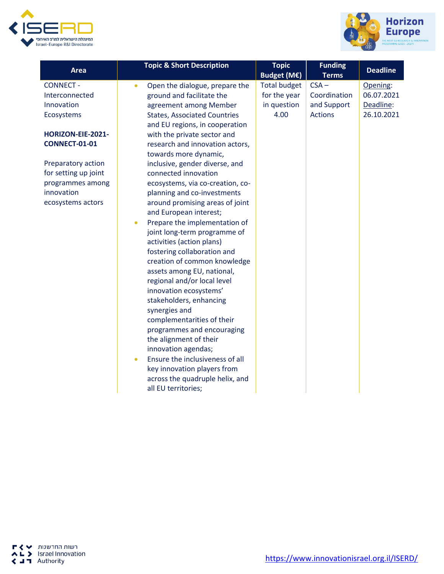



| Area                 | <b>Topic &amp; Short Description</b>        | <b>Topic</b><br>Budget (M€) | <b>Funding</b><br><b>Terms</b> | <b>Deadline</b> |
|----------------------|---------------------------------------------|-----------------------------|--------------------------------|-----------------|
| <b>CONNECT -</b>     | Open the dialogue, prepare the<br>$\bullet$ | <b>Total budget</b>         | $CSA -$                        | Opening:        |
| Interconnected       | ground and facilitate the                   | for the year                | Coordination                   | 06.07.2021      |
| Innovation           | agreement among Member                      | in question                 | and Support                    | Deadline:       |
| Ecosystems           | <b>States, Associated Countries</b>         | 4.00                        | <b>Actions</b>                 | 26.10.2021      |
|                      | and EU regions, in cooperation              |                             |                                |                 |
| HORIZON-EIE-2021-    | with the private sector and                 |                             |                                |                 |
| <b>CONNECT-01-01</b> | research and innovation actors,             |                             |                                |                 |
|                      | towards more dynamic,                       |                             |                                |                 |
| Preparatory action   | inclusive, gender diverse, and              |                             |                                |                 |
| for setting up joint | connected innovation                        |                             |                                |                 |
| programmes among     | ecosystems, via co-creation, co-            |                             |                                |                 |
| innovation           | planning and co-investments                 |                             |                                |                 |
| ecosystems actors    | around promising areas of joint             |                             |                                |                 |
|                      | and European interest;                      |                             |                                |                 |
|                      | Prepare the implementation of<br>$\bullet$  |                             |                                |                 |
|                      | joint long-term programme of                |                             |                                |                 |
|                      | activities (action plans)                   |                             |                                |                 |
|                      | fostering collaboration and                 |                             |                                |                 |
|                      | creation of common knowledge                |                             |                                |                 |
|                      | assets among EU, national,                  |                             |                                |                 |
|                      | regional and/or local level                 |                             |                                |                 |
|                      | innovation ecosystems'                      |                             |                                |                 |
|                      | stakeholders, enhancing                     |                             |                                |                 |
|                      | synergies and<br>complementarities of their |                             |                                |                 |
|                      | programmes and encouraging                  |                             |                                |                 |
|                      | the alignment of their                      |                             |                                |                 |
|                      | innovation agendas;                         |                             |                                |                 |
|                      | Ensure the inclusiveness of all<br>۰        |                             |                                |                 |
|                      | key innovation players from                 |                             |                                |                 |
|                      | across the quadruple helix, and             |                             |                                |                 |
|                      | all EU territories;                         |                             |                                |                 |
|                      |                                             |                             |                                |                 |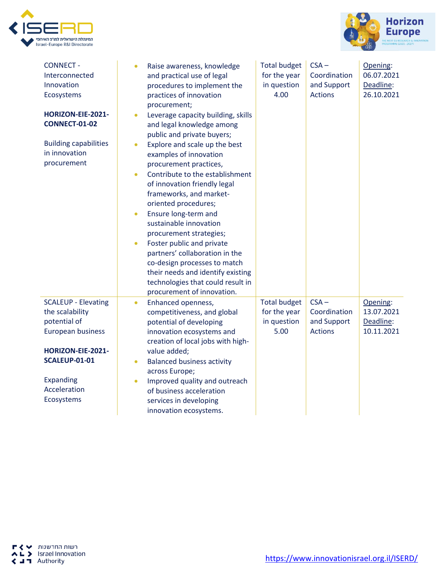



| <b>CONNECT -</b><br>Interconnected<br>Innovation<br>Ecosystems<br>HORIZON-EIE-2021-<br><b>CONNECT-01-02</b><br><b>Building capabilities</b><br>in innovation<br>procurement | $\bullet$<br>$\bullet$<br>$\bullet$<br>$\bullet$<br>$\bullet$<br>$\bullet$ | Raise awareness, knowledge<br>and practical use of legal<br>procedures to implement the<br>practices of innovation<br>procurement;<br>Leverage capacity building, skills<br>and legal knowledge among<br>public and private buyers;<br>Explore and scale up the best<br>examples of innovation<br>procurement practices,<br>Contribute to the establishment<br>of innovation friendly legal<br>frameworks, and market-<br>oriented procedures;<br>Ensure long-term and<br>sustainable innovation<br>procurement strategies;<br>Foster public and private<br>partners' collaboration in the<br>co-design processes to match<br>their needs and identify existing<br>technologies that could result in | <b>Total budget</b><br>for the year<br>in question<br>4.00 | $CSA -$<br>Coordination<br>and Support<br><b>Actions</b> | Opening:<br>06.07.2021<br>Deadline:<br>26.10.2021 |
|-----------------------------------------------------------------------------------------------------------------------------------------------------------------------------|----------------------------------------------------------------------------|------------------------------------------------------------------------------------------------------------------------------------------------------------------------------------------------------------------------------------------------------------------------------------------------------------------------------------------------------------------------------------------------------------------------------------------------------------------------------------------------------------------------------------------------------------------------------------------------------------------------------------------------------------------------------------------------------|------------------------------------------------------------|----------------------------------------------------------|---------------------------------------------------|
| <b>SCALEUP - Elevating</b><br>the scalability<br>potential of<br>European business<br>HORIZON-EIE-2021-<br><b>SCALEUP-01-01</b><br>Expanding<br>Acceleration<br>Ecosystems  | $\bullet$<br>$\bullet$<br>$\bullet$                                        | procurement of innovation.<br>Enhanced openness,<br>competitiveness, and global<br>potential of developing<br>innovation ecosystems and<br>creation of local jobs with high-<br>value added;<br><b>Balanced business activity</b><br>across Europe;<br>Improved quality and outreach<br>of business acceleration<br>services in developing<br>innovation ecosystems.                                                                                                                                                                                                                                                                                                                                 | <b>Total budget</b><br>for the year<br>in question<br>5.00 | $CSA -$<br>Coordination<br>and Support<br><b>Actions</b> | Opening:<br>13.07.2021<br>Deadline:<br>10.11.2021 |